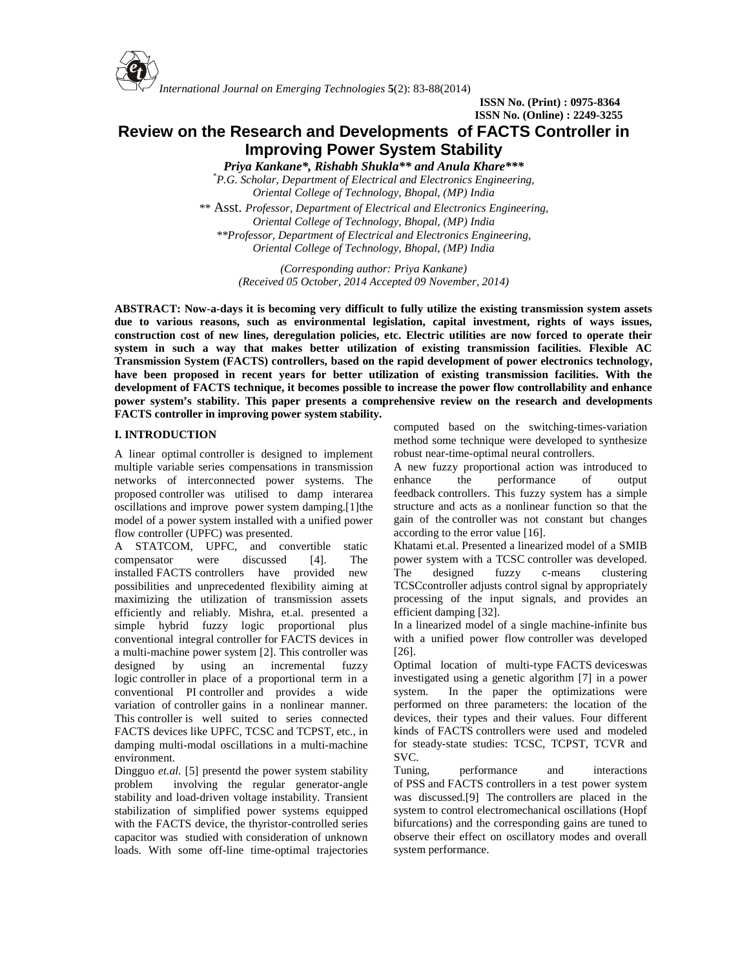*International Journal on Emerging Technologies* **5**(2): 83-88(2014) *e t*

> **ISSN No. (Print) : 0975-8364 ISSN No. (Online) : 2249-3255**

## **Review on the Research and Developments of FACTS Controller in Improving Power System Stability**

*Priya Kankane\*, Rishabh Shukla\*\* and Anula Khare\*\*\**

*\*P.G. Scholar, Department of Electrical and Electronics Engineering, Oriental College of Technology, Bhopal, (MP) India \*\** Asst. *Professor, Department of Electrical and Electronics Engineering, Oriental College of Technology, Bhopal, (MP) India \*\*Professor, Department of Electrical and Electronics Engineering, Oriental College of Technology, Bhopal, (MP) India*

> *(Corresponding author: Priya Kankane) (Received 05 October, 2014 Accepted 09 November, 2014)*

**ABSTRACT: Now-a-days it is becoming very difficult to fully utilize the existing transmission system assets due to various reasons, such as environmental legislation, capital investment, rights of ways issues, construction cost of new lines, deregulation policies, etc. Electric utilities are now forced to operate their system in such a way that makes better utilization of existing transmission facilities. Flexible AC Transmission System (FACTS) controllers, based on the rapid development of power electronics technology, have been proposed in recent years for better utilization of existing transmission facilities. With the development of FACTS technique, it becomes possible to increase the power flow controllability and enhance power system's stability. This paper presents a comprehensive review on the research and developments FACTS controller in improving power system stability.**

## **I. INTRODUCTION**

A linear optimal controller is designed to implement multiple variable series compensations in transmission networks of interconnected power systems. The proposed controller was utilised to damp interarea oscillations and improve power system damping.[1]the model of a power system installed with a unified power flow controller (UPFC) was presented.

A STATCOM, UPFC, and convertible static compensator were discussed [4]. The installed FACTS controllers have provided new possibilities and unprecedented flexibility aiming at maximizing the utilization of transmission assets efficiently and reliably. Mishra, et.al. presented a simple hybrid fuzzy logic proportional plus conventional integral controller for FACTS devices in a multi-machine power system [2]. This controller was designed by using an incremental fuzzy logic controller in place of a proportional term in a investige conventional PI controller and provides a wide system. conventional PI controller and provides a wide variation of controller gains in a nonlinear manner. This controller is well suited to series connected FACTS devices like UPFC, TCSC and TCPST, etc., in damping multi-modal oscillations in a multi-machine environment.

Dingguo *et.al.* [5] presentd the power system stability Tuning, problem involving the regular generator-angle stability and load-driven voltage instability. Transient stabilization of simplified power systems equipped with the FACTS device, the thyristor-controlled series capacitor was studied with consideration of unknown loads. With some off-line time-optimal trajectories

computed based on the switching-times-variation method some technique were developed to synthesize robust near-time-optimal neural controllers.

A new fuzzy proportional action was introduced to the performance of output feedback controllers. This fuzzy system has a simple structure and acts as a nonlinear function so that the gain of the controller was not constant but changes according to the error value [16].

Khatami et.al. Presented a linearized model of a SMIB power system with a TCSC controller was developed. fuzzy c-means clustering TCSCcontroller adjusts control signal by appropriately processing of the input signals, and provides an efficient damping [32].

In a linearized model of a single machine-infinite bus with a unified power flow controller was developed [26].

Optimal location of multi-type FACTS deviceswas investigated using a genetic algorithm [7] in a power In the paper the optimizations were performed on three parameters: the location of the devices, their types and their values. Four different kinds of FACTS controllers were used and modeled for steady-state studies: TCSC, TCPST, TCVR and SVC.

performance and interactions of PSS and FACTS controllers in a test power system was discussed.[9] The controllers are placed in the system to control electromechanical oscillations (Hopf bifurcations) and the corresponding gains are tuned to observe their effect on oscillatory modes and overall system performance.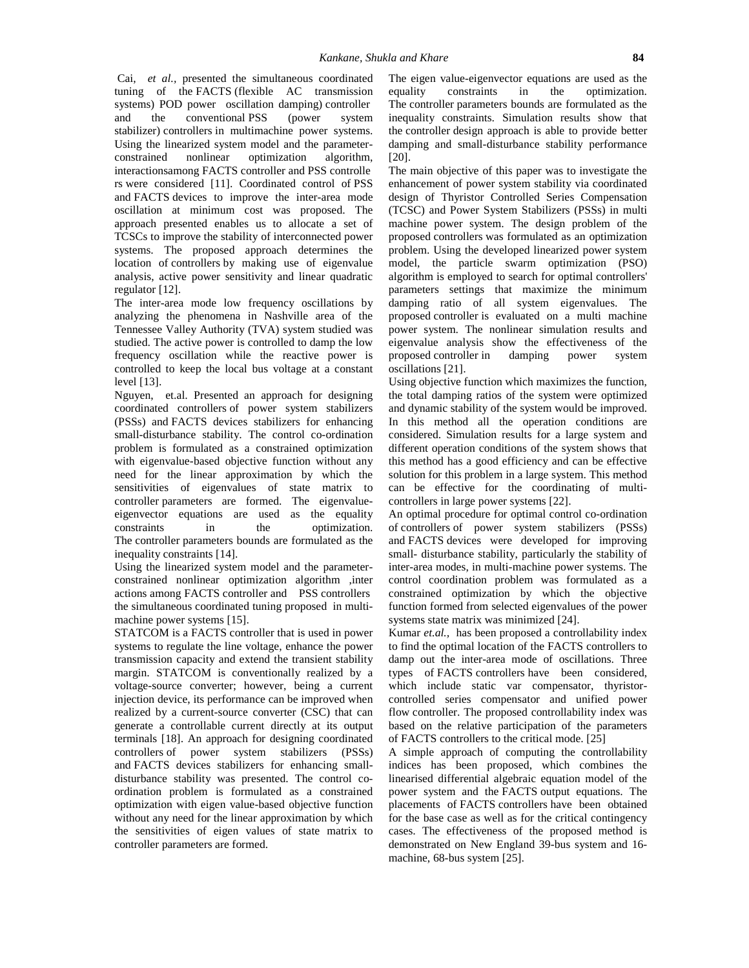Cai, *et al.,* presented the simultaneous coordinated tuning of the FACTS (flexible AC transmission systems) POD power oscillation damping) controller and the conventional PSS (power system stabilizer) controllers in multimachine power systems. Using the linearized system model and the parameter constrained nonlinear optimization algorithm, interactionsamong FACTS controller and PSS controlle rs were considered [11]. Coordinated control of PSS and FACTS devices to improve the inter-area mode oscillation at minimum cost was proposed. The approach presented enables us to allocate a set of TCSCs to improve the stability of interconnected power systems. The proposed approach determines the location of controllers by making use of eigenvalue analysis, active power sensitivity and linear quadratic regulator [12].

The inter-area mode low frequency oscillations by analyzing the phenomena in Nashville area of the Tennessee Valley Authority (TVA) system studied was studied. The active power is controlled to damp the low frequency oscillation while the reactive power is controlled to keep the local bus voltage at a constant level [13].

Nguyen, et.al. Presented an approach for designing coordinated controllers of power system stabilizers (PSSs) and FACTS devices stabilizers for enhancing small-disturbance stability. The control co-ordination problem is formulated as a constrained optimization with eigenvalue-based objective function without any need for the linear approximation by which the sensitivities of eigenvalues of state matrix to controller parameters are formed. The eigenvalue eigenvector equations are used as the equality constraints in the optimization. The controller parameters bounds are formulated as the inequality constraints [14].

Using the linearized system model and the parameter constrained nonlinear optimization algorithm ,inter actions among FACTS controller and PSS controllers the simultaneous coordinated tuning proposed in multi machine power systems [15].

STATCOM is a FACTS controller that is used in power systems to regulate the line voltage, enhance the power transmission capacity and extend the transient stability margin. STATCOM is conventionally realized by a voltage-source converter; however, being a current injection device, its performance can be improved when realized by a current-source converter (CSC) that can generate a controllable current directly at its output terminals [18]. An approach for designing coordinated controllers of power system stabilizers (PSSs) and FACTS devices stabilizers for enhancing small disturbance stability was presented. The control co ordination problem is formulated as a constrained optimization with eigen value-based objective function without any need for the linear approximation by which the sensitivities of eigen values of state matrix to controller parameters are formed.

The eigen value-eigenvector equations are used as the constraints in the optimization. The controller parameters bounds are formulated as the inequality constraints. Simulation results show that the controller design approach is able to provide better damping and small-disturbance stability performance [20].

The main objective of this paper was to investigate the enhancement of power system stability via coordinated design of Thyristor Controlled Series Compensation (TCSC) and Power System Stabilizers (PSSs) in multi machine power system. The design problem of the proposed controllers was formulated as an optimization problem. Using the developed linearized power system model, the particle swarm optimization (PSO) algorithm is employed to search for optimal controllers' parameters settings that maximize the minimum damping ratio of all system eigenvalues. The proposed controller is evaluated on a multi machine power system. The nonlinear simulation results and eigenvalue analysis show the effectiveness of the proposed controller in damping power system oscillations [21].

Using objective function which maximizes the function, the total damping ratios of the system were optimized and dynamic stability of the system would be improved. In this method all the operation conditions are considered. Simulation results for a large system and different operation conditions of the system shows that this method has a good efficiency and can be effective solution for this problem in a large system. This method can be effective for the coordinating of multi controllers in large power systems [22].

An optimal procedure for optimal control co-ordination of controllers of power system stabilizers (PSSs) and FACTS devices were developed for improving small- disturbance stability, particularly the stability of inter-area modes, in multi-machine power systems. The control coordination problem was formulated as a constrained optimization by which the objective function formed from selected eigenvalues of the power systems state matrix was minimized [24].

Kumar *et.al.,* has been proposed a controllability index to find the optimal location of the FACTS controllers to damp out the inter-area mode of oscillations. Three types of FACTS controllers have been considered, which include static var compensator, thyristor controlled series compensator and unified power flow controller. The proposed controllability index was based on the relative participation of the parameters of FACTS controllers to the critical mode. [25]

A simple approach of computing the controllability indices has been proposed, which combines the linearised differential algebraic equation model of the power system and the FACTS output equations. The placements of FACTS controllers have been obtained for the base case as well as for the critical contingency cases. The effectiveness of the proposed method is demonstrated on New England 39-bus system and 16 machine, 68-bus system [25].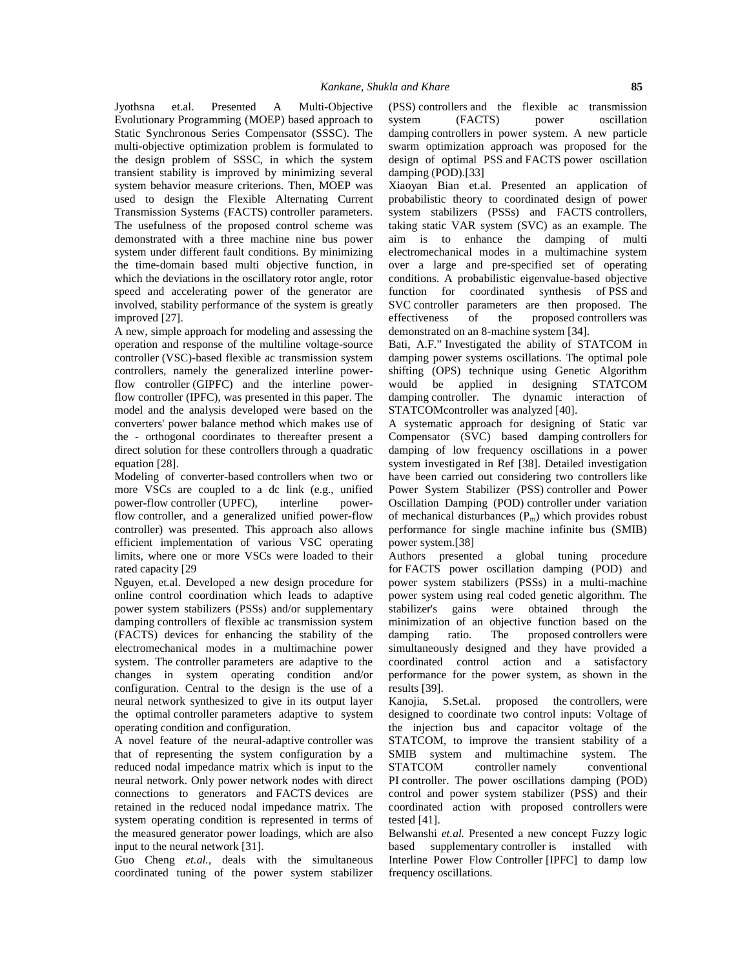Jyothsna et.al. Presented A Multi-Objective Evolutionary Programming (MOEP) based approach to Static Synchronous Series Compensator (SSSC). The multi-objective optimization problem is formulated to the design problem of SSSC, in which the system transient stability is improved by minimizing several system behavior measure criterions. Then, MOEP was used to design the Flexible Alternating Current Transmission Systems (FACTS) controller parameters. The usefulness of the proposed control scheme was demonstrated with a three machine nine bus power system under different fault conditions. By minimizing the time-domain based multi objective function, in which the deviations in the oscillatory rotor angle, rotor speed and accelerating power of the generator are involved, stability performance of the system is greatly improved [27].

A new, simple approach for modeling and assessing the operation and response of the multiline voltage-source controller (VSC)-based flexible ac transmission system controllers, namely the generalized interline powerflow controller (GIPFC) and the interline powerflow controller (IPFC), was presented in this paper. The model and the analysis developed were based on the converters' power balance method which makes use of the - orthogonal coordinates to thereafter present a direct solution for these controllers through a quadratic equation [28].

Modeling of converter-based controllers when two or more VSCs are coupled to a dc link (e.g., unified power-flow controller (UPFC), interline powerflow controller, and a generalized unified power-flow controller) was presented. This approach also allows efficient implementation of various VSC operating limits, where one or more VSCs were loaded to their rated capacity [29

Nguyen, et.al. Developed a new design procedure for online control coordination which leads to adaptive power system stabilizers (PSSs) and/or supplementary damping controllers of flexible ac transmission system (FACTS) devices for enhancing the stability of the electromechanical modes in a multimachine power system. The controller parameters are adaptive to the changes in system operating condition and/or configuration. Central to the design is the use of a neural network synthesized to give in its output layer the optimal controller parameters adaptive to system operating condition and configuration.

A novel feature of the neural-adaptive controller was that of representing the system configuration by a reduced nodal impedance matrix which is input to the STATCOM neural network. Only power network nodes with direct connections to generators and FACTS devices are retained in the reduced nodal impedance matrix. The system operating condition is represented in terms of the measured generator power loadings, which are also input to the neural network [31].

Guo Cheng *et.al.,* deals with the simultaneous coordinated tuning of the power system stabilizer (PSS) controllers and the flexible ac transmission (FACTS) power oscillation damping controllers in power system. A new particle swarm optimization approach was proposed for the design of optimal PSS and FACTS power oscillation damping (POD).[33]

Xiaoyan Bian et.al. Presented an application of probabilistic theory to coordinated design of power system stabilizers (PSSs) and FACTS controllers, taking static VAR system (SVC) as an example. The aim is to enhance the damping of multi electromechanical modes in a multimachine system over a large and pre-specified set of operating conditions. A probabilistic eigenvalue-based objective function for coordinated synthesis of PSS and SVC controller parameters are then proposed. The<br>effectiveness of the proposed controllers was effectiveness of the proposed controllers was demonstrated on an 8-machine system [34].

Bati, A.F." Investigated the ability of STATCOM in damping power systems oscillations. The optimal pole shifting (OPS) technique using Genetic Algorithm would be applied in designing STATCOM damping controller. The dynamic interaction of STATCOMcontroller was analyzed [40].

A systematic approach for designing of Static var Compensator (SVC) based damping controllers for damping of low frequency oscillations in a power system investigated in Ref [38]. Detailed investigation have been carried out considering two controllers like Power System Stabilizer (PSS) controller and Power Oscillation Damping (POD) controller under variation of mechanical disturbances  $(P_m)$  which provides robust performance for single machine infinite bus (SMIB) power system.[38]

Authors presented a global tuning procedure for FACTS power oscillation damping (POD) and power system stabilizers (PSSs) in a multi-machine power system using real coded genetic algorithm. The were obtained through the minimization of an objective function based on the ratio. The proposed controllers were simultaneously designed and they have provided a coordinated control action and a satisfactory performance for the power system, as shown in the results [39].

Kanojia, S.Set.al. proposed the controllers, were designed to coordinate two control inputs: Voltage of the injection bus and capacitor voltage of the STATCOM, to improve the transient stability of a SMIB system and multimachine system. The controller namely conventional PI controller. The power oscillations damping (POD) control and power system stabilizer (PSS) and their coordinated action with proposed controllers were tested [41].

Belwanshi *et.al.* Presented a new concept Fuzzy logic based supplementary controller is installed with Interline Power Flow Controller [IPFC] to damp low frequency oscillations.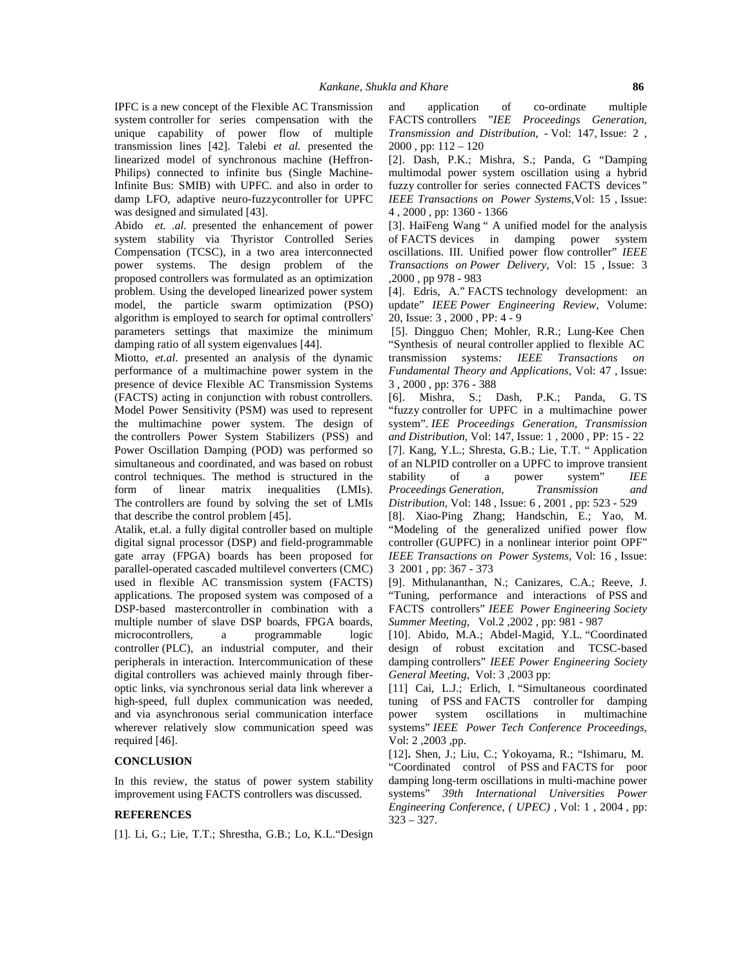IPFC is a new concept of the Flexible AC Transmission system controller for series compensation with the unique capability of power flow of multiple transmission lines [42]. Talebi *et al.* presented the linearized model of synchronous machine (Heffron- Philips) connected to infinite bus (Single Machine-Infinite Bus: SMIB) with UPFC. and also in order to damp LFO, adaptive neuro-fuzzycontroller for UPFC was designed and simulated [43].

Abido *et. .al.* presented the enhancement of power system stability via Thyristor Controlled Series Compensation (TCSC), in a two area interconnected power systems. The design problem of the proposed controllers was formulated as an optimization problem. Using the developed linearized power system model, the particle swarm optimization (PSO) algorithm is employed to search for optimal controllers' parameters settings that maximize the minimum damping ratio of all system eigenvalues [44].

Miotto, *et.al*. presented an analysis of the dynamic performance of a multimachine power system in the presence of device Flexible AC Transmission Systems (FACTS) acting in conjunction with robust controllers. Model Power Sensitivity (PSM) was used to represent the multimachine power system. The design of the controllers Power System Stabilizers (PSS) and Power Oscillation Damping (POD) was performed so simultaneous and coordinated, and was based on robust control techniques. The method is structured in the form of linear matrix inequalities (LMIs). The controllers are found by solving the set of LMIs that describe the control problem [45].

Atalik, et.al. a fully digital controller based on multiple digital signal processor (DSP) and field-programmable gate array (FPGA) boards has been proposed for parallel-operated cascaded multilevel converters (CMC) used in flexible AC transmission system (FACTS) applications. The proposed system was composed of a DSP-based mastercontroller in combination with a multiple number of slave DSP boards, FPGA boards, microcontrollers, a programmable logic controller (PLC), an industrial computer, and their peripherals in interaction. Intercommunication of these digital controllers was achieved mainly through fiber optic links, via synchronous serial data link wherever a high-speed, full duplex communication was needed, and via asynchronous serial communication interface wherever relatively slow communication speed was required [46].

## **CONCLUSION**

In this review, the status of power system stability improvement using FACTS controllers was discussed.

## **REFERENCES**

[1]. Li, G.; Lie, T.T.; Shrestha, G.B.; Lo, K.L."Design

application of co-ordinate multiple FACTS controllers "*IEE Proceedings Generation, Transmission and Distribution*, - Vol: 147, Issue: 2 , 2000 , pp: 112 – 120

[2]. Dash, P.K.; Mishra, S.; Panda, G "Damping multimodal power system oscillation using a hybrid fuzzy controller for series connected FACTS devices*" IEEE Transactions on Power Systems,*Vol: 15 , Issue: 4 , 2000 , pp: 1360 - 1366

[3]. HaiFeng Wang " A unified model for the analysis of FACTS devices in damping power system oscillations. III. Unified power flow controller" *IEEE Transactions on Power Delivery,* Vol: 15 , Issue: 3 ,2000 , pp 978 - 983

[4]. Edris, A." FACTS technology development: an update" *IEEE Power Engineering Review*, Volume: 20, Issue: 3 , 2000 , PP: 4 - 9

[5]. Dingguo Chen; Mohler, R.R.; Lung-Kee Chen "Synthesis of neural controller applied to flexible AC transmission systems*: IEEE Transactions on Fundamental Theory and Applications,* Vol: 47 , Issue: 3 , 2000 , pp: 376 - 388

[6]. Mishra, S.; Dash, P.K.; Panda, G. TS "fuzzy controller for UPFC in a multimachine power system". *IEE Proceedings Generation, Transmission and Distribution,* Vol: 147, Issue: 1 , 2000 , PP: 15 - 22 [7]. Kang, Y.L.; Shresta, G.B.; Lie, T.T. " Application of an NLPID controller on a UPFC to improve transient stability of a power system" *IEE Proceedings Generation, Transmission and Distribution,* Vol: 148 , Issue: 6 , 2001 , pp: 523 - 529

[8]. Xiao-Ping Zhang; Handschin, E.; Yao, M. "Modeling of the generalized unified power flow controller (GUPFC) in a nonlinear interior point OPF" *IEEE Transactions on Power Systems,* Vol: 16 , Issue: 3 2001 , pp: 367 - 373

[9]. Mithulananthan, N.; Canizares, C.A.; Reeve, J. "Tuning, performance and interactions of PSS and FACTS controllers" *IEEE Power Engineering Society Summer Meeting*, Vol.2 ,2002 , pp: 981 - 987

[10]. Abido, M.A.; Abdel-Magid, Y.L. "Coordinated design of robust excitation and TCSC-based damping controllers" *IEEE Power Engineering Society General Meeting,* Vol: 3 ,2003 pp:

[11] Cai, L.J.; Erlich, I. "Simultaneous coordinated tuning of PSS and FACTS controller for damping system oscillations in multimachine systems" *IEEE Power Tech Conference Proceedings,* Vol: 2 ,2003 ,pp.

[12]**.** Shen, J.; Liu, C.; Yokoyama, R.; "Ishimaru, M. "Coordinated control of PSS and FACTS for poor damping long-term oscillations in multi-machine power systems" *39th International Universities Power Engineering Conference, ( UPEC) ,* Vol: 1 , 2004 , pp:  $323 - 327.$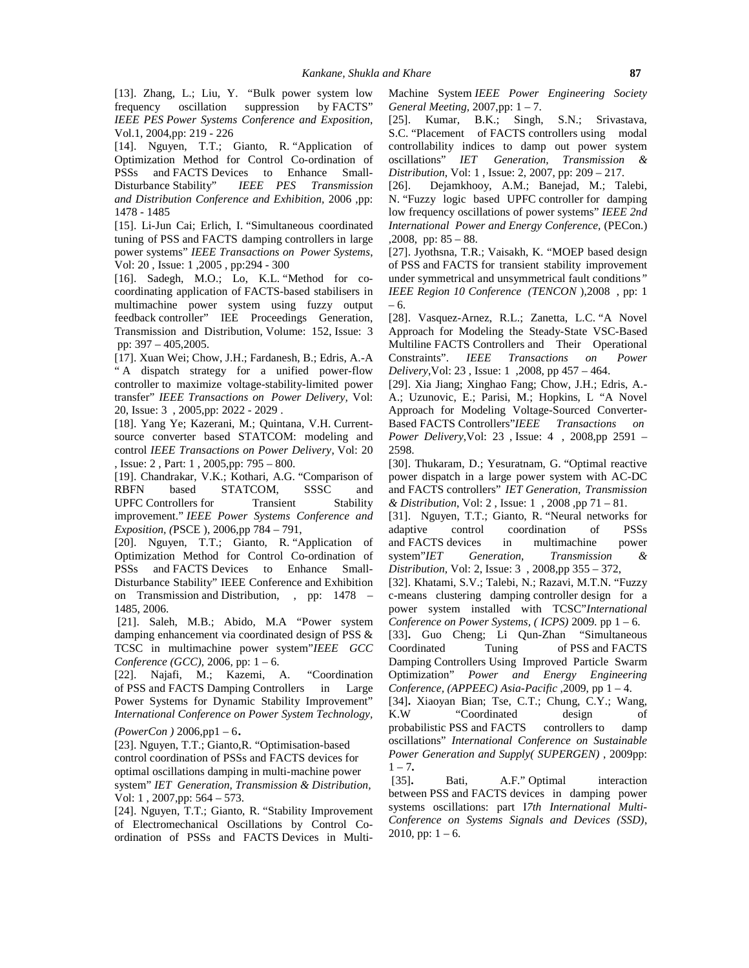[13]. Zhang, L.; Liu, Y. "Bulk power system low<br>frequency oscillation suppression by FACTS" frequency oscillation suppression by FACTS" *IEEE PES Power Systems Conference and Exposition*, Vol.1, 2004,pp: 219 - 226

[14]. Nguyen, T.T.; Gianto, R. "Application of Optimization Method for Control Co-ordination of PSSs and FACTS Devices to Enhance Small- Distribution, Vol. 1, Issue: 2, 2007, pp: 209 - 217. Disturbance Stability" *IEEE PES Transmission and Distribution Conference and Exhibition,* 2006 ,pp: 1478 - 1485

[15]. Li-Jun Cai; Erlich, I. "Simultaneous coordinated tuning of PSS and FACTS damping controllers in large power systems" *IEEE Transactions on Power Systems*, Vol: 20 , Issue: 1 ,2005 , pp:294 - 300

[16]. Sadegh, M.O.; Lo, K.L. "Method for co coordinating application of FACTS-based stabilisers in multimachine power system using fuzzy output feedback controller" IEE Proceedings Generation, Transmission and Distribution, Volume: 152, Issue: 3 pp: 397 – 405,2005.

[17]. Xuan Wei; Chow, J.H.; Fardanesh, B.; Edris, A.-A Constraints". " A dispatch strategy for a unified power-flow controller to maximize voltage-stability-limited power transfer" *IEEE Transactions on Power Delivery,* Vol: 20, Issue: 3 , 2005,pp: 2022 - 2029 .

[18]. Yang Ye; Kazerani, M.; Quintana, V.H. Current source converter based STATCOM: modeling and control *IEEE Transactions on Power Delivery*, Vol: 20

, Issue: 2 , Part: 1 , 2005,pp: 795 – 800.[19]. Chandrakar, V.K.; Kothari, A.G. "Comparison of RBFN based STATCOM, SSSC and UPFC Controllers for Transient Stability improvement." *IEEE Power Systems Conference and Exposition, (*PSCE ), 2006,pp 784 – 791,

[20]. Nguyen, T.T.; Gianto, R. "Application of Optimization Method for Control Co-ordination of system"IET PSSs and FACTS Devices to Enhance Small- Disturbance Stability" IEEE Conference and Exhibition on Transmission and Distribution, , pp: 1478 – 1485, 2006.

[21]. Saleh, M.B.; Abido, M.A "Power system damping enhancement via coordinated design of PSS & TCSC in multimachine power system"*IEEE GCC Conference (GCC),* 2006*,* pp: 1 – 6.

[22]. Najafi, M.; Kazemi, A. "Coordination of PSS and FACTS Damping Controllers in Large Power Systems for Dynamic Stability Improvement" [34].<br>International Conference on Power System Technology. K.W. *International Conference on Power System Technology,*

*(PowerCon )* 2006,pp1 – <sup>6</sup>. [23]. Nguyen, T.T.; Gianto,R. "Optimisation-based control coordination of PSSs and FACTS devices for optimal oscillations damping in multi-machine power  $1 - \lambda$ <br>system" IET Canaration Transmission & Distribution [35]. system" *IET Generation, Transmission & Distribution,*

Vol: 1, 2007,pp: 564 – 573.<br>[24]. Nguyen, T.T.; Gianto, R. "Stability Improvement of Electromechanical Oscillations by Control Co ordination of PSSs and FACTS Devices in MultiMachine System *IEEE Power Engineering Society General Meeting,* 2007,pp: 1 – 7.

[25]. Kumar, B.K.; Singh, S.N.; Srivastava, S.C. "Placement of FACTS controllers using modal controllability indices to damp out power system oscillations" *IET Generation, Transmission &*

Dejamkhooy, A.M.; Banejad, M.; Talebi, N. "Fuzzy logic based UPFC controller for damping low frequency oscillations of power systems" *IEEE 2nd International Power and Energy Conference,* (PECon.) ,2008, pp: 85 – 88.

[27]. Jyothsna, T.R.; Vaisakh, K. "MOEP based design of PSS and FACTS for transient stability improvement under symmetrical and unsymmetrical fault conditions*" IEEE Region 10 Conference (TENCON* ),2008 , pp: 1 – 6.

[28]. Vasquez-Arnez, R.L.; Zanetta, L.C. "A Novel Approach for Modeling the Steady-State VSC-Based Multiline FACTS Controllers and Their Operational Constraints". *IEEE Transactions on Power Delivery*,Vol: 23 , Issue: 1 ,2008, pp 457 – 464.

[29]. Xia Jiang; Xinghao Fang; Chow, J.H.; Edris, A.- A.; Uzunovic, E.; Parisi, M.; Hopkins, L "A Novel Approach for Modeling Voltage-Sourced Converter- Based FACTS Controllers"*IEEE Transactions on Power Delivery*,Vol: 23 , Issue: 4 , 2008,pp 2591 – 2598.

[30]. Thukaram, D.; Yesuratnam, G. "Optimal reactive power dispatch in a large power system with AC-DC and FACTS controllers" *IET Generation, Transmission & Distribution*, Vol: 2 , Issue: 1 , 2008 ,pp 71 – 81.

[31]. Nguyen, T.T.; Gianto, R. "Neural networks for adaptive control coordination of PSSs and FACTS devices in multimachine power system"*IET Generation, Transmission & Distribution,* Vol: 2, Issue: 3 , 2008,pp 355 – 372,

[32]. Khatami, S.V.; Talebi, N.; Razavi, M.T.N. "Fuzzy c-means clustering damping controller design for a power system installed with TCSC"*International Conference on Power Systems, ( ICPS)* 2009*.* pp 1 – 6.

[33]**.** Guo Cheng; Li Qun-Zhan "Simultaneous Tuning of PSS and FACTS Damping Controllers Using Improved Particle Swarm Optimization" *Power and Energy Engineering Conference, (APPEEC) Asia-Pacific* ,2009, pp 1 – 4.

[34]**.** Xiaoyan Bian; Tse, C.T.; Chung, C.Y.; Wang, "Coordinated design of probabilistic PSS and FACTS controllers to damp oscillations" *International Conference on Sustainable Power Generation and Supply( SUPERGEN)* , 2009pp: 1 – 7**.**

Bati, A.F." Optimal interaction between PSS and FACTS devices in damping power systems oscillations: part I*7th International Multi- Conference on Systems Signals and Devices (SSD)*, 2010, pp:  $1 - 6$ .